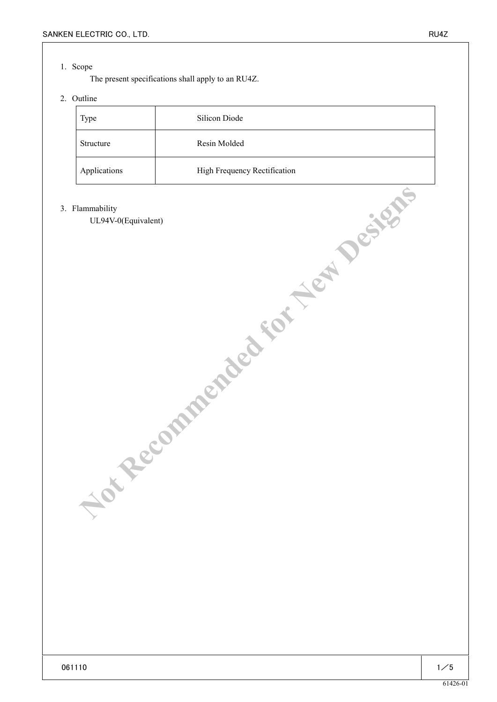### 1. Scope

The present specifications shall apply to an RU4Z.

## 2. Outline

| Type         | Silicon Diode                |
|--------------|------------------------------|
| Structure    | Resin Molded                 |
| Applications | High Frequency Rectification |

#### 3. Flammability

UL94V-0(Equivalent) **MINUTES COMMENDED FOR NEW DESIGNS**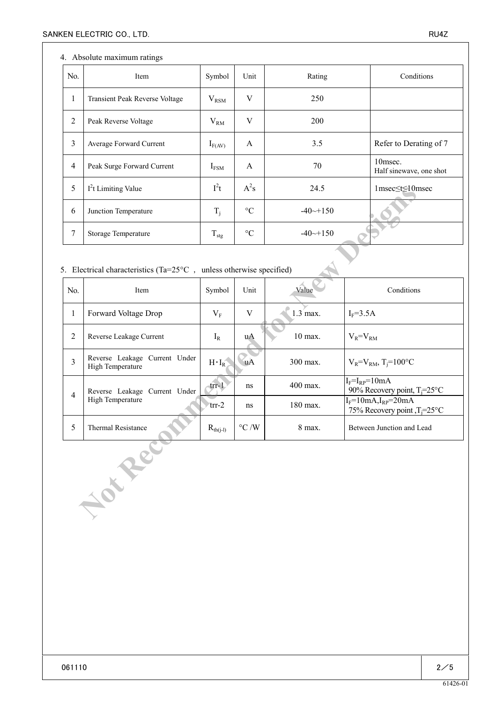## 4. Absolute maximum ratings

| No.            | Item                           | Symbol           | Unit            | Rating                | Conditions                         |
|----------------|--------------------------------|------------------|-----------------|-----------------------|------------------------------------|
| $\mathbf{I}$   | Transient Peak Reverse Voltage | $V_{\rm RSM}$    | V               | 250                   |                                    |
| 2              | Peak Reverse Voltage           | $V_{RM}$         | V               | <b>200</b>            |                                    |
| 3              | Average Forward Current        | $I_{F(AV)}$      | A               | 3.5                   | Refer to Derating of 7             |
| $\overline{4}$ | Peak Surge Forward Current     | $I_{FSM}$        | A               | 70                    | 10msec.<br>Half sinewave, one shot |
| 5              | $I2t$ Limiting Value           | $I^2t$           | $A^2s$          | 24.5                  | 1msec≤t≤10msec                     |
| 6              | Junction Temperature           | $T_i$            | $\rm ^{\circ}C$ | $-40 \rightarrow 150$ |                                    |
| 7              | Storage Temperature            | $T_{\text{stg}}$ | $\rm ^{\circ}C$ | $-40 \rightarrow 150$ |                                    |

# 5. Electrical characteristics (Ta= $25^{\circ}$ C , unless otherwise specified)

| 5                                                                              | 1 <sup>2</sup> t Limiting Value                   | $l^{\text{-}}t$      | $A^{\sim}$ s    | 24.5         | $1$ msec $\leq t \leq 10$ msec                                      |  |  |  |
|--------------------------------------------------------------------------------|---------------------------------------------------|----------------------|-----------------|--------------|---------------------------------------------------------------------|--|--|--|
| 6                                                                              | Junction Temperature                              |                      | $\rm ^{\circ}C$ | $-40$ $-150$ |                                                                     |  |  |  |
| $\tau$                                                                         | Storage Temperature                               |                      | $\rm ^{\circ}C$ | $-40$ $-150$ |                                                                     |  |  |  |
| 5. Electrical characteristics (Ta= $25^{\circ}$ C, unless otherwise specified) |                                                   |                      |                 |              |                                                                     |  |  |  |
| No.                                                                            | Item                                              | Symbol               | Unit            | Value        | Conditions                                                          |  |  |  |
| 1                                                                              | Forward Voltage Drop                              |                      | V               | $1.3$ max.   | $I_F = 3.5A$                                                        |  |  |  |
| $\overline{2}$                                                                 | Reverse Leakage Current                           |                      | uA              | 10 max.      | $V_R = V_{RM}$                                                      |  |  |  |
| 3                                                                              | Reverse Leakage Current Under<br>High Temperature | $H \cdot I_R$        | <b>uA</b>       | 300 max.     | $V_R = V_{RM}$ , T <sub>i</sub> =100°C                              |  |  |  |
| $\overline{4}$                                                                 | Reverse Leakage Current Under<br>High Temperature | $trr-1$              | ns              | 400 max.     | $I_F = I_{RP} = 10mA$<br>90% Recovery point, $T_i = 25$ °C          |  |  |  |
|                                                                                |                                                   | $trr-2$              | ns              | 180 max.     | $I_F=10mA, I_{RP}=20mA$<br>75% Recovery point, T <sub>i</sub> =25°C |  |  |  |
| 5                                                                              | Thermal Resistance                                | $R_{\text{th}(j-l)}$ | $^{\circ}C$ /W  | 8 max.       | Between Junction and Lead                                           |  |  |  |
| Jour Re                                                                        |                                                   |                      |                 |              |                                                                     |  |  |  |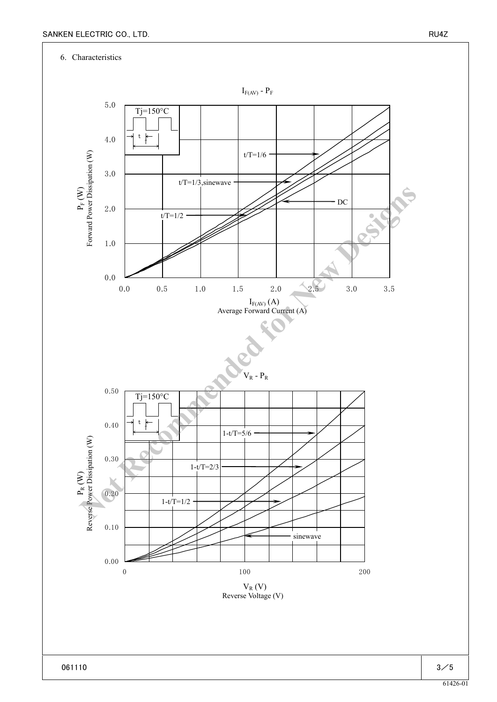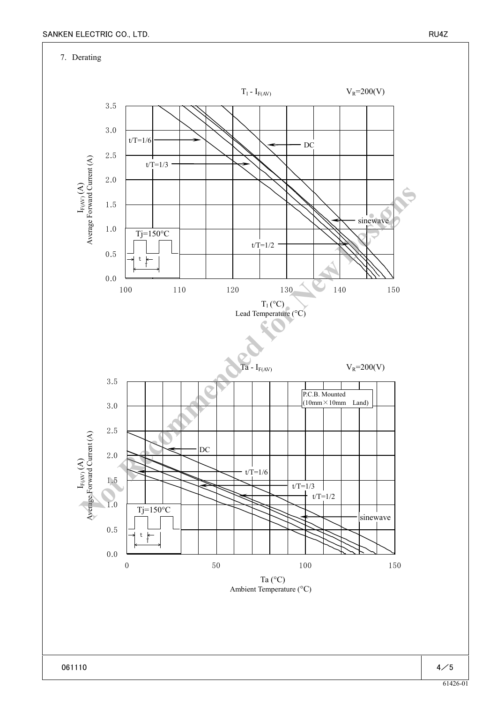7. Derating